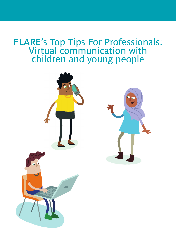## FLARE's Top Tips For Professionals: Virtual communication with children and young people

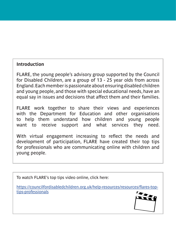## **Introduction**

FLARE, the young people's advisory group supported by the Council for Disabled Children, are a group of 13 - 25 year olds from across England. Each member is passionate about ensuring disabled children and young people, and those with special educational needs, have an equal say in issues and decisions that affect them and their families.

FLARE work together to share their views and experiences with the Department for Education and other organisations to help them understand how children and young people want to receive support and what services they need.

With virtual engagement increasing to reflect the needs and development of participation, FLARE have created their top tips for professionals who are communicating online with children and young people.

To watch FLARE's top tips video online, click here:

https://councilfordisabledchildren.org.uk/help-resources/resources/flares-toptips-professionals

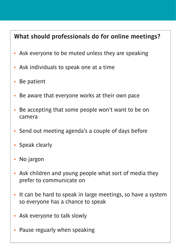## **What should professionals do for online meetings?**

- Ask everyone to be muted unless they are speaking
- Ask individuals to speak one at a time
- Be patient
- Be aware that everyone works at their own pace
- Be accepting that some people won't want to be on camera
- Send out meeting agenda's a couple of days before
- Speak clearly
- No jargon
- Ask children and young people what sort of media they prefer to communicate on
- It can be hard to speak in large meetings, so have a system so everyone has a chance to speak
- Ask everyone to talk slowly
- Pause reguarly when speaking